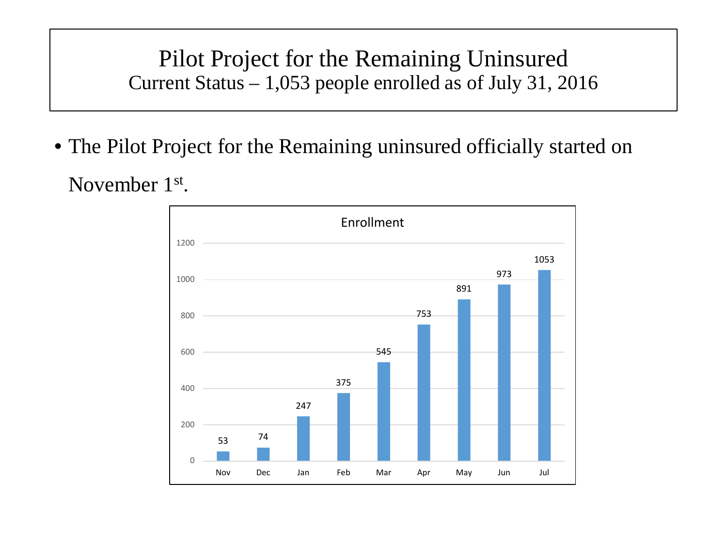## Pilot Project for the Remaining Uninsured Current Status – 1,053 people enrolled as of July 31, 2016

• The Pilot Project for the Remaining uninsured officially started on

November 1st.

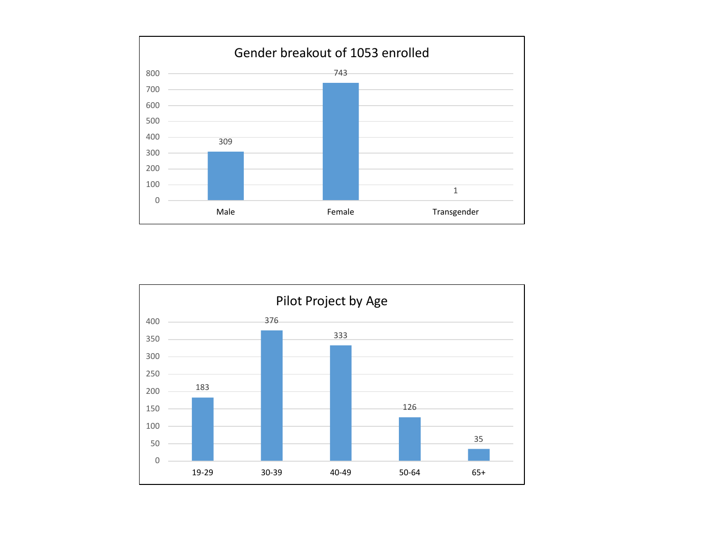

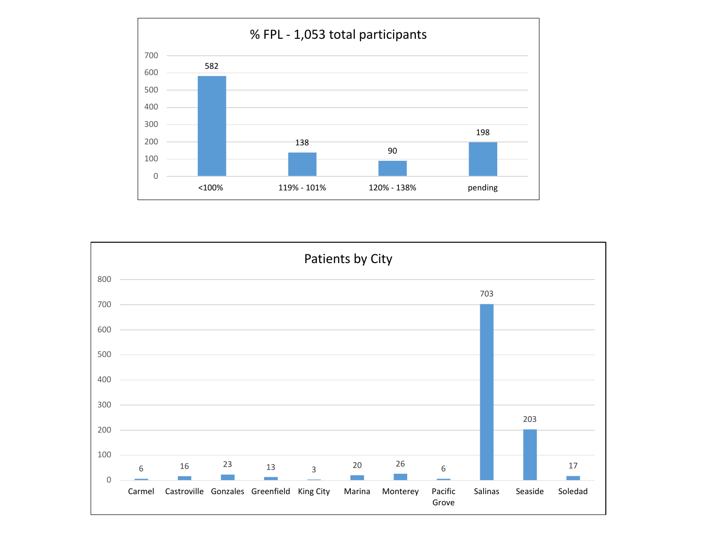

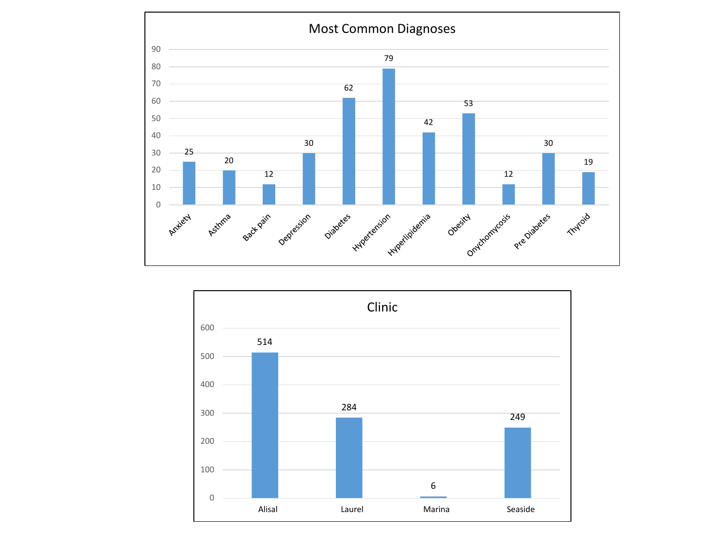

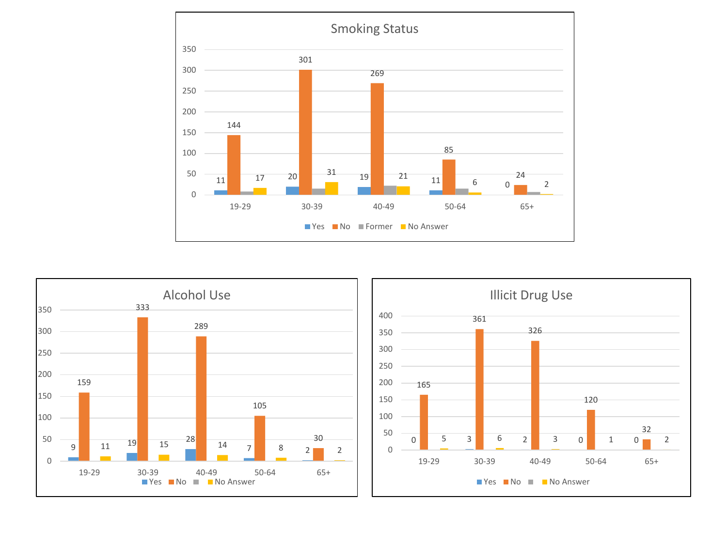